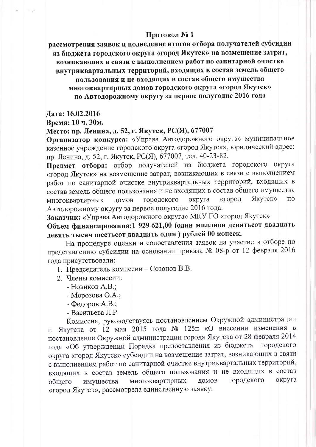#### Протокол № 1

рассмотрения заявок и подведение итогов отбора получателей субсидии из бюлжета городского округа «город Якутск» на возмещение затрат, возникающих в связи с выполнением работ по санитарной очистке внутриквартальных территорий, входящих в состав земель общего

пользования и не входящих в состав общего имущества многоквартирных домов городского округа «город Якутск» по Автодорожному округу за первое полугодие 2016 года

Дата: 16.02.2016

Время: 10 ч. 30м.

#### Место: пр. Ленина, д. 52, г. Якутск, РС(Я), 677007

Организатор конкурса: «Управа Автодорожного округа» муниципальное казенное учреждение городского округа «город Якутск», юридический адрес: пр. Ленина, д. 52, г. Якутск, РС(Я), 677007, тел. 40-23-82.

Предмет отбора: отбор получателей из бюджета городского округа «город Якутск» на возмещение затрат, возникающих в связи с выполнением работ по санитарной очистке внутриквартальных территорий, входящих в состав земель общего пользования и не входящих в состав общего имущества округа «город **Якутск»**  $\overline{10}$ многоквартирных домов городского Автодорожному округу за первое полугодие 2016 года.

Заказчик: «Управа Автодорожного округа» МКУ ГО «город Якутск»

Объем финансирования: 1 929 621,00 (один миллион девятьсот двадцать девять тысяч шестьсот двадцать один) рублей 00 копеек.

На процедуре оценки и сопоставления заявок на участие в отборе по представлению субсидии на основании приказа № 08-р от 12 февраля 2016 года присутствовали:

- 1. Председатель комиссии Созонов В.В.
- 2. Члены комиссии:
	- Новиков А.В.;
	- Морозова О.А.;
	- Федоров А.В.;
	- Васильева Л.Р.

Комиссия, руководствуясь постановлением Окружной администрации г. Якутска от 12 мая 2015 года № 125п «О внесении изменения в постановление Окружной администрации города Якутска от 28 февраля 2014 года «Об утверждении Порядка предоставления из бюджета городского округа «город Якутск» субсидии на возмещение затрат, возникающих в связи с выполнением работ по санитарной очистке внутриквартальных территорий, входящих в состав земель общего пользования и не входящих в состав городского округа многоквартирных ДОМОВ имущества обшего «город Якутск», рассмотрела единственную заявку.